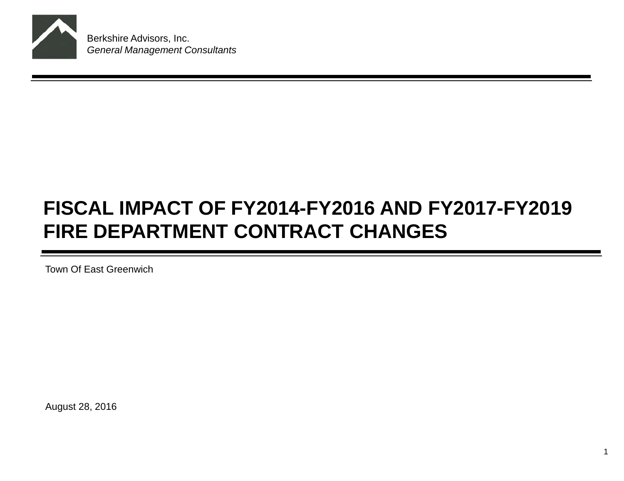

Berkshire Advisors, Inc. *General Management Consultants*

# **FISCAL IMPACT OF FY2014-FY2016 AND FY2017-FY2019 FIRE DEPARTMENT CONTRACT CHANGES**

Town Of East Greenwich

August 28, 2016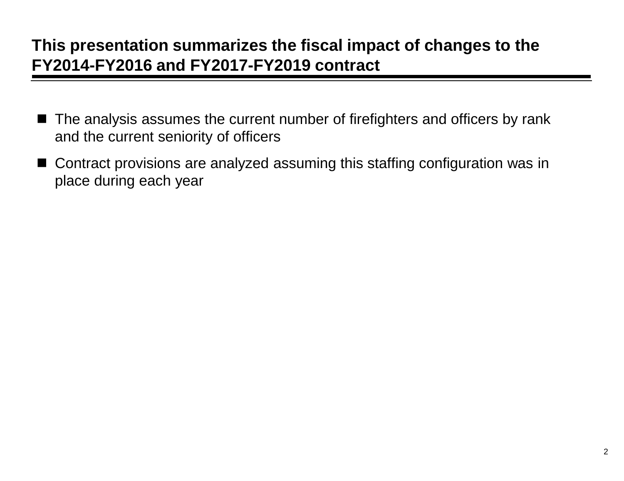## **This presentation summarizes the fiscal impact of changes to the FY2014-FY2016 and FY2017-FY2019 contract**

- The analysis assumes the current number of firefighters and officers by rank and the current seniority of officers
- Contract provisions are analyzed assuming this staffing configuration was in place during each year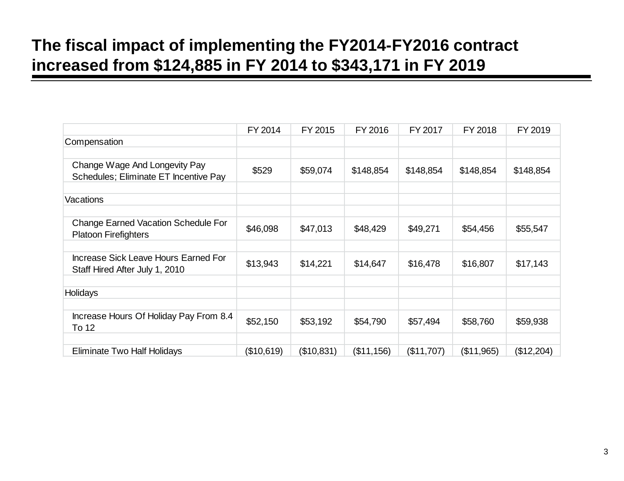## **The fiscal impact of implementing the FY2014-FY2016 contract increased from \$124,885 in FY 2014 to \$343,171 in FY 2019**

|                                                                               | FY 2014    | FY 2015    | FY 2016    | FY 2017    | FY 2018    | FY 2019    |
|-------------------------------------------------------------------------------|------------|------------|------------|------------|------------|------------|
| Compensation                                                                  |            |            |            |            |            |            |
|                                                                               |            |            |            |            |            |            |
| Change Wage And Longevity Pay                                                 | \$529      | \$59,074   | \$148,854  | \$148,854  | \$148,854  | \$148,854  |
| Schedules; Eliminate ET Incentive Pay                                         |            |            |            |            |            |            |
|                                                                               |            |            |            |            |            |            |
| Vacations                                                                     |            |            |            |            |            |            |
|                                                                               |            |            |            |            |            |            |
| <b>Change Earned Vacation Schedule For</b><br><b>Platoon Firefighters</b>     | \$46,098   | \$47,013   | \$48,429   | \$49,271   | \$54,456   | \$55,547   |
|                                                                               |            |            |            |            |            |            |
| <b>Increase Sick Leave Hours Earned For</b><br>Staff Hired After July 1, 2010 | \$13,943   | \$14,221   | \$14,647   | \$16,478   | \$16,807   | \$17,143   |
|                                                                               |            |            |            |            |            |            |
| Holidays                                                                      |            |            |            |            |            |            |
|                                                                               |            |            |            |            |            |            |
| Increase Hours Of Holiday Pay From 8.4<br>To 12                               | \$52,150   | \$53,192   | \$54,790   | \$57,494   | \$58,760   | \$59,938   |
|                                                                               |            |            |            |            |            |            |
| Eliminate Two Half Holidays                                                   | (\$10,619) | (\$10,831) | (\$11,156) | (\$11,707) | (\$11,965) | (\$12,204) |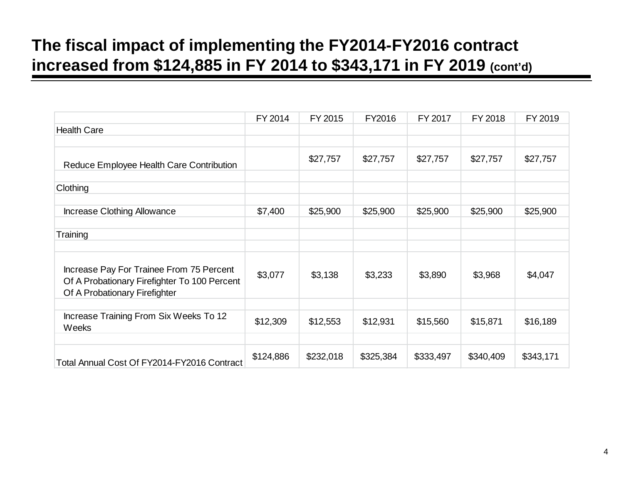## **The fiscal impact of implementing the FY2014-FY2016 contract increased from \$124,885 in FY 2014 to \$343,171 in FY 2019 (cont'd)**

|                                                                                                                           | FY 2014   | FY 2015   | FY2016    | FY 2017   | FY 2018   | FY 2019   |
|---------------------------------------------------------------------------------------------------------------------------|-----------|-----------|-----------|-----------|-----------|-----------|
| <b>Health Care</b>                                                                                                        |           |           |           |           |           |           |
|                                                                                                                           |           |           |           |           |           |           |
| Reduce Employee Health Care Contribution                                                                                  |           | \$27,757  | \$27,757  | \$27,757  | \$27,757  | \$27,757  |
|                                                                                                                           |           |           |           |           |           |           |
| Clothing                                                                                                                  |           |           |           |           |           |           |
|                                                                                                                           |           |           |           |           |           |           |
| <b>Increase Clothing Allowance</b>                                                                                        | \$7,400   | \$25,900  | \$25,900  | \$25,900  | \$25,900  | \$25,900  |
|                                                                                                                           |           |           |           |           |           |           |
| Training                                                                                                                  |           |           |           |           |           |           |
|                                                                                                                           |           |           |           |           |           |           |
| Increase Pay For Trainee From 75 Percent<br>Of A Probationary Firefighter To 100 Percent<br>Of A Probationary Firefighter | \$3,077   | \$3,138   | \$3,233   | \$3,890   | \$3,968   | \$4,047   |
|                                                                                                                           |           |           |           |           |           |           |
| Increase Training From Six Weeks To 12<br>Weeks                                                                           | \$12,309  | \$12,553  | \$12,931  | \$15,560  | \$15,871  | \$16,189  |
|                                                                                                                           |           |           |           |           |           |           |
| Total Annual Cost Of FY2014-FY2016 Contract                                                                               | \$124,886 | \$232,018 | \$325,384 | \$333,497 | \$340,409 | \$343,171 |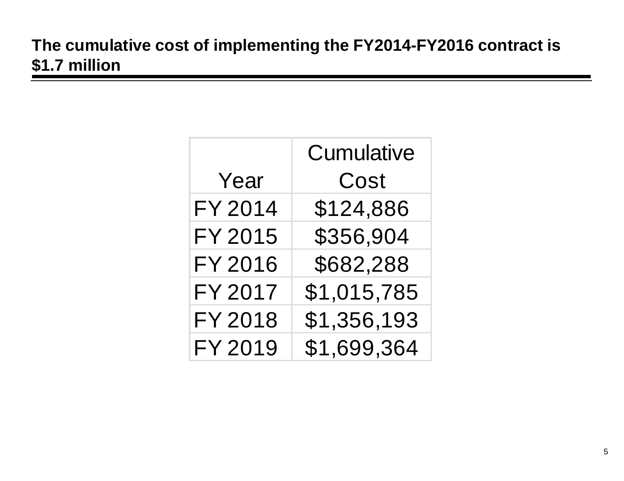## **The cumulative cost of implementing the FY2014-FY2016 contract is \$1.7 million**

|                | <b>Cumulative</b> |
|----------------|-------------------|
| Year           | Cost              |
| FY 2014        | \$124,886         |
| <b>FY 2015</b> | \$356,904         |
| <b>FY 2016</b> | \$682,288         |
| <b>FY 2017</b> | \$1,015,785       |
| FY 2018        | \$1,356,193       |
| FY 2019        | \$1,699,364       |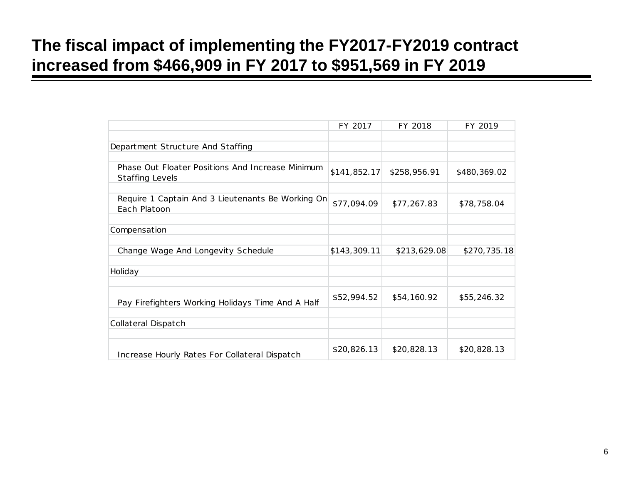## **The fiscal impact of implementing the FY2017-FY2019 contract increased from \$466,909 in FY 2017 to \$951,569 in FY 2019**

|                                                                            | FY 2017      | FY 2018      | FY 2019      |
|----------------------------------------------------------------------------|--------------|--------------|--------------|
|                                                                            |              |              |              |
| Department Structure And Staffing                                          |              |              |              |
|                                                                            |              |              |              |
| Phase Out Floater Positions And Increase Minimum<br><b>Staffing Levels</b> | \$141,852.17 | \$258,956.91 | \$480,369.02 |
|                                                                            |              |              |              |
| Require 1 Captain And 3 Lieutenants Be Working On<br>Each Platoon          | \$77,094.09  | \$77,267.83  | \$78,758.04  |
|                                                                            |              |              |              |
| Compensation                                                               |              |              |              |
|                                                                            |              |              |              |
| Change Wage And Longevity Schedule                                         | \$143,309.11 | \$213,629.08 | \$270,735.18 |
|                                                                            |              |              |              |
| Holiday                                                                    |              |              |              |
|                                                                            |              |              |              |
| Pay Firefighters Working Holidays Time And A Half                          | \$52,994.52  | \$54,160.92  | \$55,246.32  |
|                                                                            |              |              |              |
| Collateral Dispatch                                                        |              |              |              |
|                                                                            |              |              |              |
| Increase Hourly Rates For Collateral Dispatch                              | \$20,826.13  | \$20,828.13  | \$20,828.13  |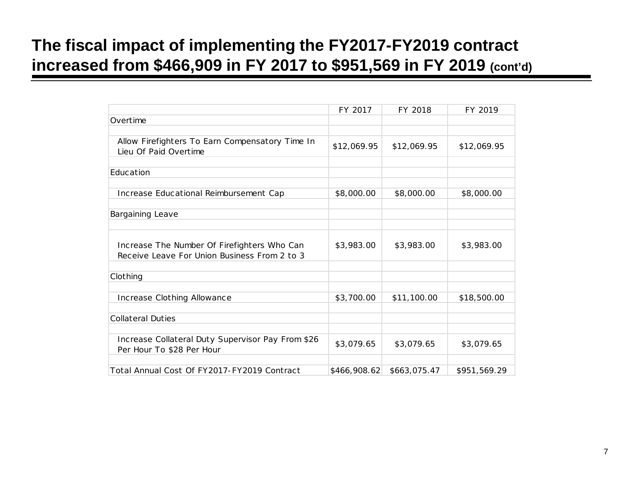## **The fiscal impact of implementing the FY2017-FY2019 contract increased from \$466,909 in FY 2017 to \$951,569 in FY 2019 (cont'd)**

|                                                                                             | FY 2017      | FY 2018      | FY 2019      |
|---------------------------------------------------------------------------------------------|--------------|--------------|--------------|
| Overtime                                                                                    |              |              |              |
|                                                                                             |              |              |              |
| Allow Firefighters To Earn Compensatory Time In<br>Lieu Of Paid Overtime                    | \$12,069.95  | \$12,069.95  | \$12,069.95  |
|                                                                                             |              |              |              |
| Education                                                                                   |              |              |              |
|                                                                                             |              |              |              |
| Increase Educational Reimbursement Cap                                                      | \$8,000.00   | \$8,000.00   | \$8,000.00   |
|                                                                                             |              |              |              |
| Bargaining Leave                                                                            |              |              |              |
|                                                                                             |              |              |              |
| Increase The Number Of Firefighters Who Can<br>Receive Leave For Union Business From 2 to 3 | \$3,983.00   | \$3,983.00   | \$3,983.00   |
|                                                                                             |              |              |              |
| Clothing                                                                                    |              |              |              |
|                                                                                             |              |              |              |
| Increase Clothing Allowance                                                                 | \$3,700.00   | \$11,100.00  | \$18,500.00  |
|                                                                                             |              |              |              |
| <b>Collateral Duties</b>                                                                    |              |              |              |
|                                                                                             |              |              |              |
| Increase Collateral Duty Supervisor Pay From \$26<br>Per Hour To \$28 Per Hour              | \$3,079.65   | \$3,079.65   | \$3,079.65   |
|                                                                                             |              |              |              |
| Total Annual Cost Of FY2017-FY2019 Contract                                                 | \$466,908.62 | \$663,075.47 | \$951,569.29 |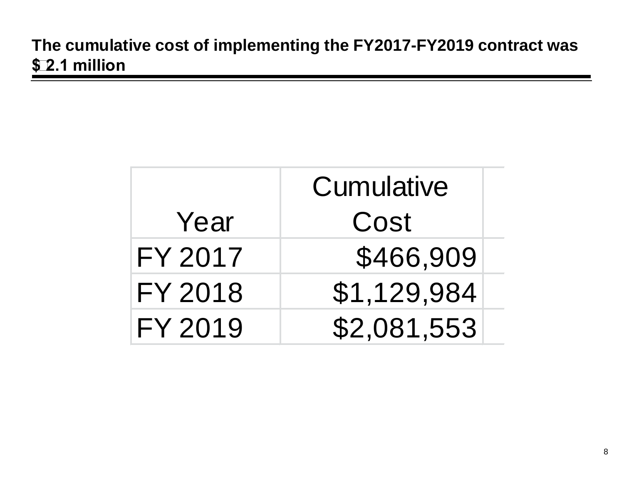## **The cumulative cost of implementing the FY2017-FY2019 contract was \$2.1 million**

|                | Cumulative  |  |  |  |
|----------------|-------------|--|--|--|
| Year           | Cost        |  |  |  |
| FY 2017        | \$466,909   |  |  |  |
| <b>FY 2018</b> | \$1,129,984 |  |  |  |
| FY 2019        | \$2,081,553 |  |  |  |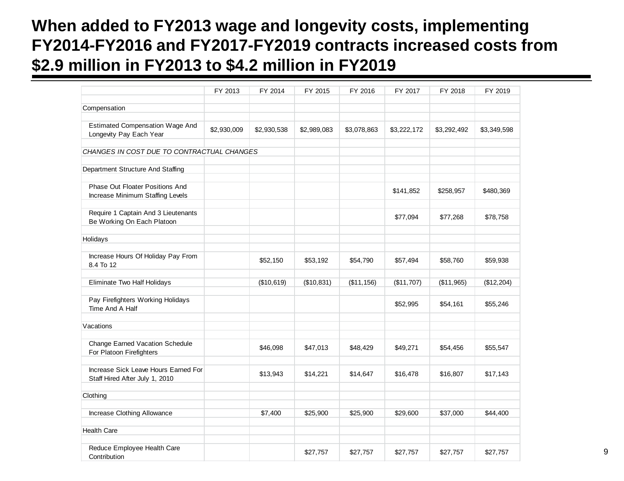#### **When added to FY2013 wage and longevity costs, implementing FY2014-FY2016 and FY2017-FY2019 contracts increased costs from \$2.9 million in FY2013 to \$4.2 million in FY2019**

|                                                                     | FY 2013     | FY 2014     | FY 2015     | FY 2016     | FY 2017     | FY 2018     | FY 2019     |
|---------------------------------------------------------------------|-------------|-------------|-------------|-------------|-------------|-------------|-------------|
| Compensation                                                        |             |             |             |             |             |             |             |
|                                                                     |             |             |             |             |             |             |             |
| <b>Estimated Compensation Wage And</b><br>Longevity Pay Each Year   | \$2,930,009 | \$2,930,538 | \$2,989,083 | \$3,078,863 | \$3,222,172 | \$3,292,492 | \$3,349,598 |
| CHANGES IN COST DUE TO CONTRACTUAL CHANGES                          |             |             |             |             |             |             |             |
|                                                                     |             |             |             |             |             |             |             |
| Department Structure And Staffing                                   |             |             |             |             |             |             |             |
| Phase Out Floater Positions And<br>Increase Minimum Staffing Levels |             |             |             |             | \$141,852   | \$258,957   | \$480,369   |
| Require 1 Captain And 3 Lieutenants<br>Be Working On Each Platoon   |             |             |             |             | \$77,094    | \$77,268    | \$78,758    |
| Holidays                                                            |             |             |             |             |             |             |             |
|                                                                     |             |             |             |             |             |             |             |
| Increase Hours Of Holiday Pay From<br>8.4 To 12                     |             | \$52,150    | \$53,192    | \$54,790    | \$57,494    | \$58,760    | \$59,938    |
| Eliminate Two Half Holidays                                         |             | (\$10,619)  | (\$10,831)  | (\$11, 156) | (\$11,707)  | (\$11,965)  | (\$12,204)  |
|                                                                     |             |             |             |             |             |             |             |
| Pay Firefighters Working Holidays<br>Time And A Half                |             |             |             |             | \$52,995    | \$54,161    | \$55,246    |
|                                                                     |             |             |             |             |             |             |             |
| Vacations                                                           |             |             |             |             |             |             |             |
| <b>Change Earned Vacation Schedule</b><br>For Platoon Firefighters  |             | \$46,098    | \$47,013    | \$48,429    | \$49,271    | \$54,456    | \$55,547    |
| Increase Sick Leave Hours Earned For                                |             |             |             |             |             |             |             |
| Staff Hired After July 1, 2010                                      |             | \$13,943    | \$14,221    | \$14,647    | \$16,478    | \$16,807    | \$17,143    |
| Clothing                                                            |             |             |             |             |             |             |             |
|                                                                     |             |             |             |             |             |             |             |
| Increase Clothing Allowance                                         |             | \$7,400     | \$25,900    | \$25,900    | \$29,600    | \$37,000    | \$44,400    |
| <b>Health Care</b>                                                  |             |             |             |             |             |             |             |
|                                                                     |             |             |             |             |             |             |             |
| Reduce Employee Health Care<br>Contribution                         |             |             | \$27,757    | \$27,757    | \$27,757    | \$27,757    | \$27,757    |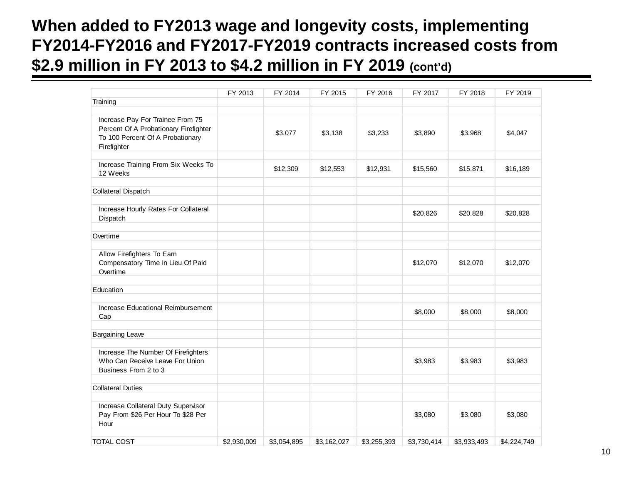#### **When added to FY2013 wage and longevity costs, implementing FY2014-FY2016 and FY2017-FY2019 contracts increased costs from \$2.9 million in FY 2013 to \$4.2 million in FY 2019 (cont'd)**

|                                                                                                                              | FY 2013     | FY 2014     | FY 2015     | FY 2016     | FY 2017     | FY 2018     | FY 2019     |
|------------------------------------------------------------------------------------------------------------------------------|-------------|-------------|-------------|-------------|-------------|-------------|-------------|
| Training                                                                                                                     |             |             |             |             |             |             |             |
|                                                                                                                              |             |             |             |             |             |             |             |
| Increase Pay For Trainee From 75<br>Percent Of A Probationary Firefighter<br>To 100 Percent Of A Probationary<br>Firefighter |             | \$3,077     | \$3,138     | \$3,233     | \$3,890     | \$3,968     | \$4,047     |
| Increase Training From Six Weeks To<br>12 Weeks                                                                              |             | \$12,309    | \$12,553    | \$12,931    | \$15,560    | \$15,871    | \$16,189    |
| Collateral Dispatch                                                                                                          |             |             |             |             |             |             |             |
| Increase Hourly Rates For Collateral<br>Dispatch                                                                             |             |             |             |             | \$20,826    | \$20,828    | \$20,828    |
| Overtime                                                                                                                     |             |             |             |             |             |             |             |
| Allow Firefighters To Earn<br>Compensatory Time In Lieu Of Paid<br>Overtime                                                  |             |             |             |             | \$12,070    | \$12,070    | \$12,070    |
| Education                                                                                                                    |             |             |             |             |             |             |             |
| Increase Educational Reimbursement<br>Cap                                                                                    |             |             |             |             | \$8,000     | \$8,000     | \$8,000     |
| <b>Bargaining Leave</b>                                                                                                      |             |             |             |             |             |             |             |
| Increase The Number Of Firefighters<br>Who Can Receive Leave For Union<br>Business From 2 to 3                               |             |             |             |             | \$3,983     | \$3,983     | \$3,983     |
| <b>Collateral Duties</b>                                                                                                     |             |             |             |             |             |             |             |
| Increase Collateral Duty Supervisor<br>Pay From \$26 Per Hour To \$28 Per<br>Hour                                            |             |             |             |             | \$3,080     | \$3,080     | \$3,080     |
| <b>TOTAL COST</b>                                                                                                            | \$2,930,009 | \$3,054,895 | \$3,162,027 | \$3,255,393 | \$3,730,414 | \$3,933,493 | \$4,224,749 |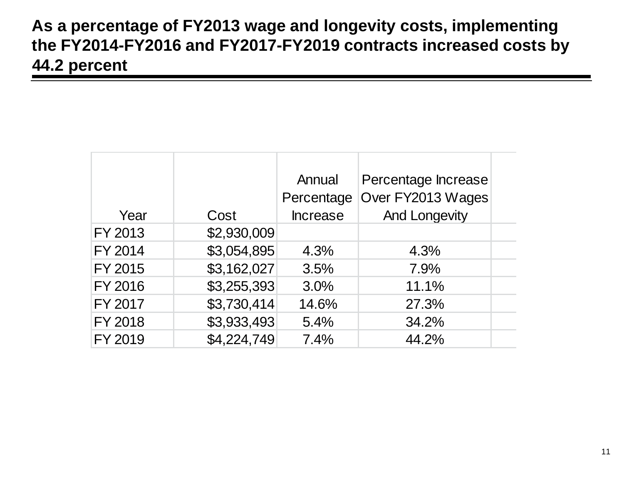#### **As a percentage of FY2013 wage and longevity costs, implementing the FY2014-FY2016 and FY2017-FY2019 contracts increased costs by 44.2 percent**

|         |             | Annual          | Percentage Increase  |  |
|---------|-------------|-----------------|----------------------|--|
|         |             | Percentage      | Over FY2013 Wages    |  |
| Year    | Cost        | <b>Increase</b> | <b>And Longevity</b> |  |
| FY 2013 | \$2,930,009 |                 |                      |  |
| FY 2014 | \$3,054,895 | 4.3%            | 4.3%                 |  |
| FY 2015 | \$3,162,027 | 3.5%            | 7.9%                 |  |
| FY 2016 | \$3,255,393 | 3.0%            | 11.1%                |  |
| FY 2017 | \$3,730,414 | 14.6%           | 27.3%                |  |
| FY 2018 | \$3,933,493 | 5.4%            | 34.2%                |  |
| FY 2019 | \$4,224,749 | 7.4%            | 44.2%                |  |